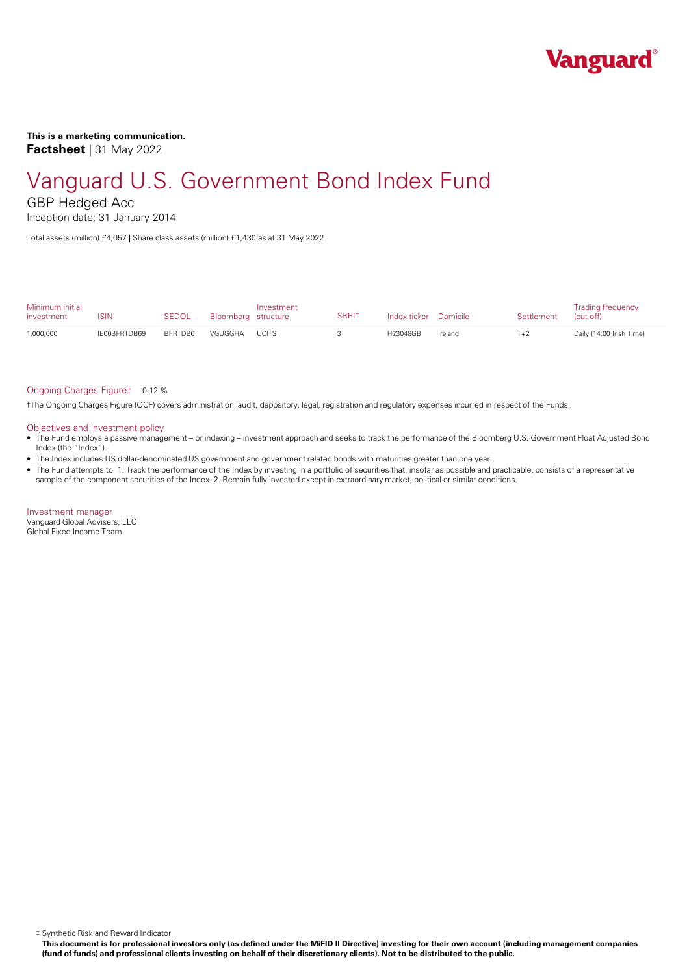

**This is a marketing communication. Factsheet** | 31 May 2022

# Vanguard U.S. Government Bond Index Fund

GBP Hedged Acc

Inception date: 31 January 2014

Total assets (million) £4,057 **|** Share class assets (million) £1,430 as at 31 May 2022

| Minimum initial<br>investment | ISIN         | <b>SEDOL</b> | Bloomberg structure | Investment   | SRRI‡ | Index ticker Domicile |         | Settlement | <b>Trading frequency</b><br>(cut-off) |
|-------------------------------|--------------|--------------|---------------------|--------------|-------|-----------------------|---------|------------|---------------------------------------|
| 1,000,000                     | IE00BFRTDB69 | BFRTDB6      | VGUGGHA             | <b>UCITS</b> |       | H23048GB              | Ireland | $T+2$      | Daily (14:00 Irish Time)              |

# Ongoing Charges Figure† 0.12 %

†The Ongoing Charges Figure (OCF) covers administration, audit, depository, legal, registration and regulatory expenses incurred in respect of the Funds.

### Objectives and investment policy

- The Fund employs a passive management orindexing investment approach and seeks to track the performance of the Bloomberg U.S. Government Float Adjusted Bond Index (the "Index").
- The Index includes US dollar-denominated US government and government related bonds with maturities greater than one year.
- The Fund attempts to: 1. Track the performance of the Index by investing in a portfolio of securities that, insofar as possible and practicable, consists of a representative sample of the component securities of the Index. 2. Remain fully invested except in extraordinary market, political or similar conditions.

Investment manager Vanguard Global Advisers, LLC Global Fixed Income Team

‡ Synthetic Risk and Reward Indicator

This document is for professional investors only (as defined under the MiFID II Directive) investing for their own account (including management companies (fund of funds) and professional clients investing on behalf of their discretionary clients). Not to be distributed to the public.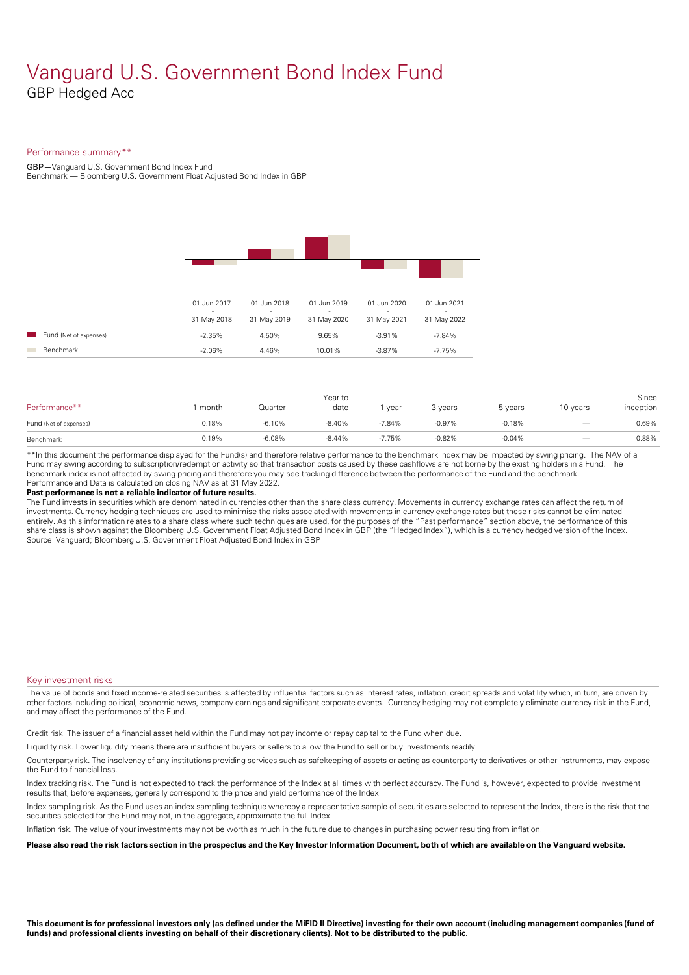# Vanguard U.S. Government Bond Index Fund GBP Hedged Acc

# Performance summary\*\*

GBP**—**Vanguard U.S. Government Bond Index Fund

Benchmark — Bloomberg U.S.Government Float Adjusted Bond Index in GBP

|                        | 01 Jun 2017                             | 01 Jun 2018           | 01 Jun 2019           | 01 Jun 2020      | 01 Jun 2021           |  |
|------------------------|-----------------------------------------|-----------------------|-----------------------|------------------|-----------------------|--|
|                        | $\overline{\phantom{a}}$<br>31 May 2018 | $\sim$<br>31 May 2019 | $\sim$<br>31 May 2020 | ٠<br>31 May 2021 | $\sim$<br>31 May 2022 |  |
| Fund (Net of expenses) | $-2.35%$                                | 4.50%                 | 9.65%                 | $-3.91%$         | $-7.84%$              |  |
| Benchmark              | $-2.06%$                                | 4.46%                 | 10.01%                | $-3.87%$         | $-7.75%$              |  |
|                        |                                         |                       |                       |                  |                       |  |

| Performance**          | month | Quarter  | Year to<br>date | year     | 3 years  | 5 years  | 10 years                 | Since<br>inception |
|------------------------|-------|----------|-----------------|----------|----------|----------|--------------------------|--------------------|
| Fund (Net of expenses) | 0.18% | $-6.10%$ | $-8.40%$        | $-7.84%$ | $-0.97%$ | $-0.18%$ | $\overline{\phantom{m}}$ | 0.69%              |
| Benchmark              | 0.19% | $-6.08%$ | $-8.44%$        | $-7.75%$ | $-0.82%$ | $-0.04%$ | $\overline{\phantom{m}}$ | 0.88%              |

\*\*In this document the performance displayed for the Fund(s) and therefore relative performance to the benchmark index may be impacted by swing pricing. The NAV of a Fund may swing according to subscription/redemption activity so that transaction costs caused by these cashflows are notborne by the existing holders in a Fund. The benchmark index is not affected by swing pricing and therefore you may see tracking difference between the performance of the Fund and the benchmark. Performance and Data is calculated on closing NAV as at 31 May 2022.

### **Past performance is not a reliable indicator of future results.**

The Fund invests in securities which are denominated in currencies other than the share class currency. Movements in currency exchange rates can affect the return of investments. Currency hedging techniques are used to minimise the risks associated with movements in currency exchange rates but these risks cannot be eliminated entirely. As this information relates to a share class where such techniques are used, for the purposes of the "Past performance" section above, the performance of this share class is shown against the Bloomberg U.S. Government Float Adjusted Bond Index in GBP (the "Hedged Index"), which is a currency hedged version of the Index. Source: Vanguard; Bloomberg U.S. Government Float Adjusted Bond Index in GBP

# Key investment risks

The value of bonds and fixed income-related securities is affected by influential factors such as interest rates, inflation, credit spreads and volatility which, in turn, are driven by other factors including political, economic news, company earnings and significant corporate events. Currency hedging may not completely eliminate currency risk in the Fund, and may affect the performance of the Fund.

Credit risk. The issuer of a financial asset held within the Fund may not pay income or repay capital to the Fund when due.

Liquidity risk. Lower liquidity means there are insufficient buyers or sellers to allow the Fund to sell or buy investments readily.

Counterparty risk. The insolvency ofany institutions providing services such as safekeeping of assets or acting as counterparty to derivatives or other instruments, may expose the Fund to financial loss.

Index tracking risk.The Fund is not expected to track the performance of the Index at all times with perfect accuracy. The Fund is, however, expected to provide investment results that, before expenses, generally correspond to the price and yield performance of the Index.

Index sampling risk. As the Fund uses an index sampling technique whereby a representative sample of securities are selected to represent the Index, there is the risk that the securities selected for the Fund may not, in the aggregate, approximate the full Index.

Inflation risk. The value of your investments may not be worth as much in the future due to changes in purchasing power resulting from inflation.

Please also read the risk factors section in the prospectus and the Key Investor Information Document, both of which are available on the Vanguard website.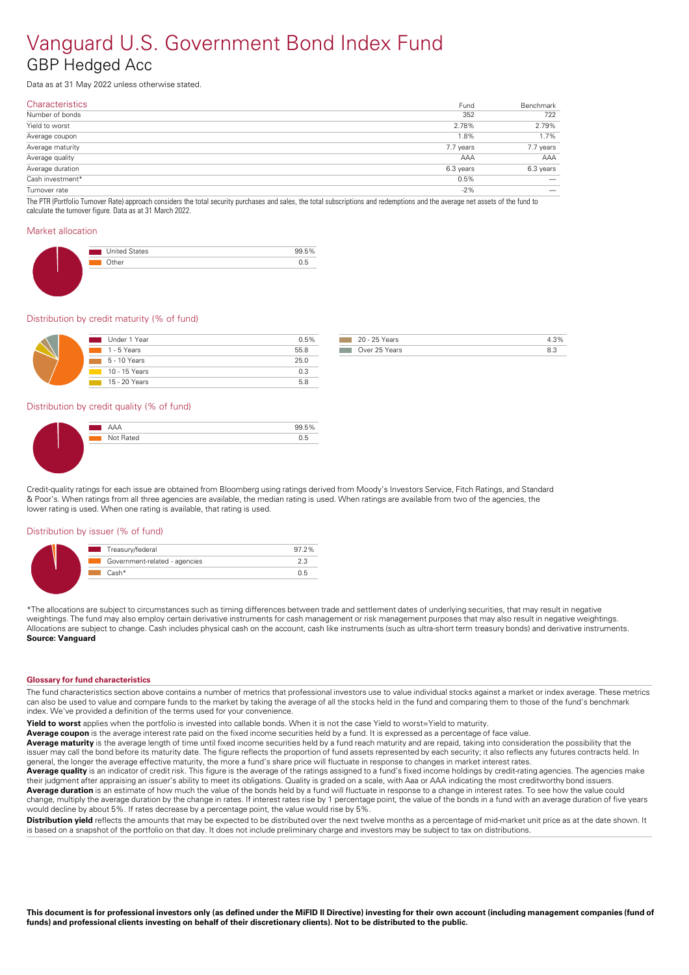# Vanguard U.S. Government Bond Index Fund GBP Hedged Acc

Data as at 31 May 2022 unless otherwise stated.

| 352<br>2.78% | 722                                                                                                                                                                             |
|--------------|---------------------------------------------------------------------------------------------------------------------------------------------------------------------------------|
|              |                                                                                                                                                                                 |
|              | 2.79%                                                                                                                                                                           |
| 1.8%         | 1.7%                                                                                                                                                                            |
| 7.7 years    | 7.7 years                                                                                                                                                                       |
| AAA          | AAA                                                                                                                                                                             |
| 6.3 years    | 6.3 years                                                                                                                                                                       |
| 0.5%         |                                                                                                                                                                                 |
| $-2\%$       |                                                                                                                                                                                 |
|              | The BTD (Bertfolio Turneyer Beta) enpresed considers the total equipments purchases and soles the total subscriptions and redomptions and the everage not coasts of the fund to |

The PTR (Portfolio Turnover Rate) approach considers the total security purchases and sales, the total subscriptions and redemptions and the average net assets of the fund to calculate the turnover figure. Data as at 31 March 2022.

#### Market allocation

| <b>United States</b> | $F \Omega$ |
|----------------------|------------|
|                      |            |
|                      |            |

### Distribution by credit maturity (% of fund)

| Under 1 Year               | 0.5% |
|----------------------------|------|
| $1 - 5$ Years              | 55.8 |
| $\overline{5}$ - 10 Years  | 25.0 |
| $\overline{10}$ - 15 Years | 0.3  |
| $15 - 20$ Years            | 58   |

| 20 - 25 Years |  |
|---------------|--|
| Over 25 Years |  |

# Distribution by credit quality (% of fund)

Credit-quality ratings for each issue are obtained from Bloomberg using ratings derived from Moody's Investors Service, Fitch Ratings, and Standard & Poor's. When ratings from all three agencies are available, the median rating is used. When ratings are available from two of the agencies, the lower rating is used. When one rating is available, that rating is used.

#### Distribution by issuer (% of fund)

| Treasury/federal              | $97.2\%$       |
|-------------------------------|----------------|
| Government-related - agencies |                |
| — Cash*                       | $\overline{ }$ |

\*The allocations are subject to circumstances such as timing differences between trade and settlement dates of underlying securities, that may result in negative weightings. The fund may also employ certain derivative instruments for cash management or risk management purposes that may also result in negative weightings. Allocations are subject to change. Cash includes physical cash on the account, cash like instruments (such as ultra-short term treasury bonds) and derivative instruments. **Source: Vanguard** 

#### **Glossary for fund characteristics**

The fund characteristics section above contains a number of metrics that professional investors use to value individual stocks against a market or index average. These metrics can also be used to value and compare funds to the market by taking the average of all the stocks held in the fund and comparing them to those of the fund's benchmark index. We've provided a definition of the terms used for your convenience.

**Yield to worst** applies when the portfolio is invested into callable bonds. When it is not the case Yield to worst=Yield to maturity.

Average coupon is the average interest rate paid on the fixed income securities held by a fund. It is expressed as a percentage of face value.

**Average maturity** is the average length of time until fixed income securities held by a fund reach maturity and are repaid, taking into consideration the possibility that the issuer may call the bond before its maturity date. The figure reflects the proportion of fund assets represented by each security; it also reflects any futures contracts held. In general, the longer the average effective maturity, the more a fund's share price will fluctuate in response to changes in market interest rates.

**Average quality** is an indicator of credit risk. This figure is the average of the ratings assigned to a fund's fixed income holdings by credit-rating agencies. The agencies make their judgment after appraising an issuer's ability to meet its obligations. Quality is graded on a scale, with Aaa orAAA indicating the most creditworthy bond issuers. **Average duration** is an estimate of how much the value of the bonds held by a fund will fluctuate in response to a change in interest rates. To see how the value could change, multiply the average duration by the change in rates. If interest rates rise by 1 percentage point, the value of the bonds in a fund with an average duration of five years

would decline by about 5%. If rates decrease by a percentage point, the value would rise by 5%.

**Distribution yield** reflects the amounts that may be expected to be distributed over the next twelve months as a percentage of mid-market unit price as at the date shown. It is based on a snapshot of the portfolio on that day. It does not include preliminary charge and investors may be subject to tax on distributions.

This document is for professional investors only (as defined under the MiFID II Directive) investing for their own account (including management companies (fund of funds) and professional clients investing on behalf of their discretionary clients). Not to be distributed to the public.